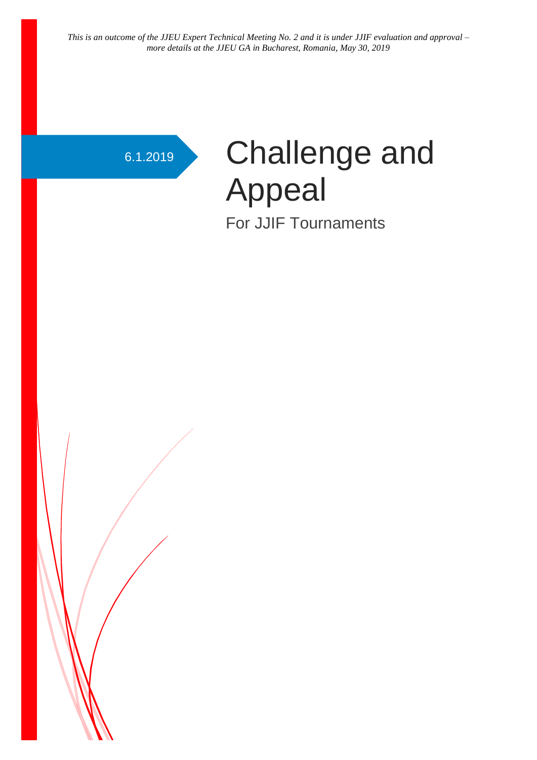# 6.1.2019 Challenge and Appeal For JJIF Tournaments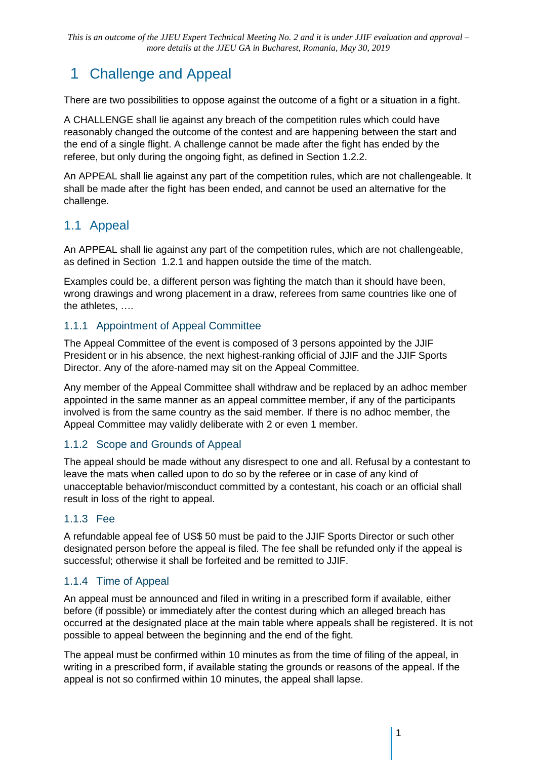## 1 Challenge and Appeal

There are two possibilities to oppose against the outcome of a fight or a situation in a fight.

A CHALLENGE shall lie against any breach of the competition rules which could have reasonably changed the outcome of the contest and are happening between the start and the end of a single flight. A challenge cannot be made after the fight has ended by the referee, but only during the ongoing fight, as defined in Section [1.2.2.](#page-3-0)

An APPEAL shall lie against any part of the competition rules, which are not challengeable. It shall be made after the fight has been ended, and cannot be used an alternative for the challenge.

### 1.1 Appeal

An APPEAL shall lie against any part of the competition rules, which are not challengeable, as defined in Section [1.2.1](#page-2-0) and happen outside the time of the match.

Examples could be, a different person was fighting the match than it should have been, wrong drawings and wrong placement in a draw, referees from same countries like one of the athletes, ….

#### 1.1.1 Appointment of Appeal Committee

The Appeal Committee of the event is composed of 3 persons appointed by the JJIF President or in his absence, the next highest-ranking official of JJIF and the JJIF Sports Director. Any of the afore-named may sit on the Appeal Committee.

Any member of the Appeal Committee shall withdraw and be replaced by an adhoc member appointed in the same manner as an appeal committee member, if any of the participants involved is from the same country as the said member. If there is no adhoc member, the Appeal Committee may validly deliberate with 2 or even 1 member.

#### 1.1.2 Scope and Grounds of Appeal

The appeal should be made without any disrespect to one and all. Refusal by a contestant to leave the mats when called upon to do so by the referee or in case of any kind of unacceptable behavior/misconduct committed by a contestant, his coach or an official shall result in loss of the right to appeal.

#### 1.1.3 Fee

A refundable appeal fee of US\$ 50 must be paid to the JJIF Sports Director or such other designated person before the appeal is filed. The fee shall be refunded only if the appeal is successful; otherwise it shall be forfeited and be remitted to JJIF.

#### 1.1.4 Time of Appeal

An appeal must be announced and filed in writing in a prescribed form if available, either before (if possible) or immediately after the contest during which an alleged breach has occurred at the designated place at the main table where appeals shall be registered. It is not possible to appeal between the beginning and the end of the fight.

The appeal must be confirmed within 10 minutes as from the time of filing of the appeal, in writing in a prescribed form, if available stating the grounds or reasons of the appeal. If the appeal is not so confirmed within 10 minutes, the appeal shall lapse.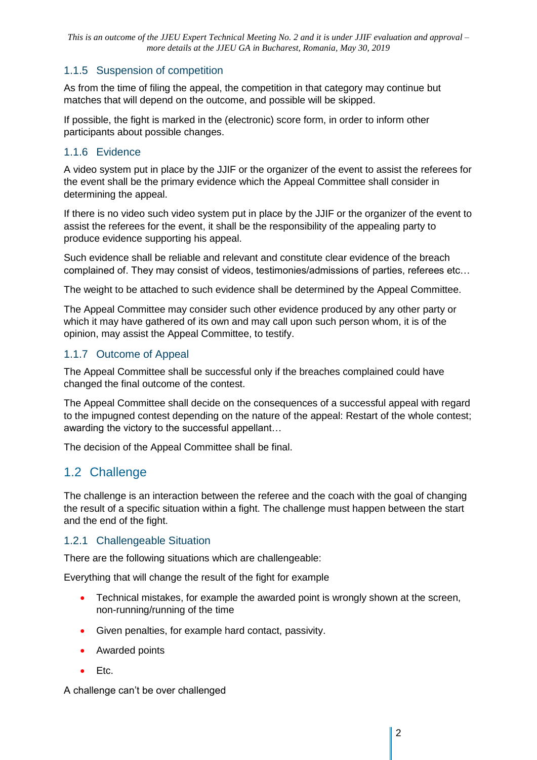#### 1.1.5 Suspension of competition

As from the time of filing the appeal, the competition in that category may continue but matches that will depend on the outcome, and possible will be skipped.

If possible, the fight is marked in the (electronic) score form, in order to inform other participants about possible changes.

#### 1.1.6 Evidence

A video system put in place by the JJIF or the organizer of the event to assist the referees for the event shall be the primary evidence which the Appeal Committee shall consider in determining the appeal.

If there is no video such video system put in place by the JJIF or the organizer of the event to assist the referees for the event, it shall be the responsibility of the appealing party to produce evidence supporting his appeal.

Such evidence shall be reliable and relevant and constitute clear evidence of the breach complained of. They may consist of videos, testimonies/admissions of parties, referees etc…

The weight to be attached to such evidence shall be determined by the Appeal Committee.

The Appeal Committee may consider such other evidence produced by any other party or which it may have gathered of its own and may call upon such person whom, it is of the opinion, may assist the Appeal Committee, to testify.

#### 1.1.7 Outcome of Appeal

The Appeal Committee shall be successful only if the breaches complained could have changed the final outcome of the contest.

The Appeal Committee shall decide on the consequences of a successful appeal with regard to the impugned contest depending on the nature of the appeal: Restart of the whole contest; awarding the victory to the successful appellant…

The decision of the Appeal Committee shall be final.

#### 1.2 Challenge

The challenge is an interaction between the referee and the coach with the goal of changing the result of a specific situation within a fight. The challenge must happen between the start and the end of the fight.

#### <span id="page-2-0"></span>1.2.1 Challengeable Situation

There are the following situations which are challengeable:

Everything that will change the result of the fight for example

- Technical mistakes, for example the awarded point is wrongly shown at the screen, non-running/running of the time
- Given penalties, for example hard contact, passivity.
- Awarded points
- Etc.

A challenge can't be over challenged